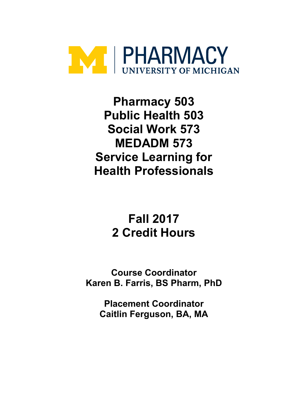

**Pharmacy 503 Public Health 503 Social Work 573 MEDADM 573 Service Learning for Health Professionals**

# **Fall 2017 2 Credit Hours**

**Course Coordinator Karen B. Farris, BS Pharm, PhD**

> **Placement Coordinator Caitlin Ferguson, BA, MA**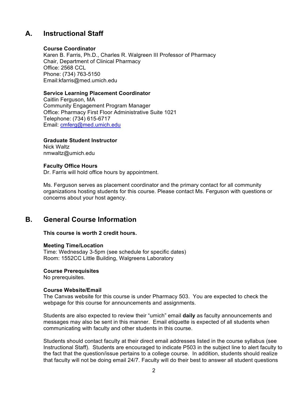### **A. Instructional Staff**

#### **Course Coordinator**

Karen B. Farris, Ph.D., Charles R. Walgreen III Professor of Pharmacy Chair, Department of Clinical Pharmacy Office: 2568 CCL Phone: (734) 763-5150 Email:kfarris@med.umich.edu

#### **Service Learning Placement Coordinator**

Caitlin Ferguson, MA Community Engagement Program Manager Office: Pharmacy First Floor Administrative Suite 1021 Telephone: (734) 615-6717 Email: cmferg@med.umich.edu

### **Graduate Student Instructor**

Nick Waltz nmwaltz@umich.edu

#### **Faculty Office Hours**

Dr. Farris will hold office hours by appointment.

Ms. Ferguson serves as placement coordinator and the primary contact for all community organizations hosting students for this course. Please contact Ms. Ferguson with questions or concerns about your host agency.

### **B. General Course Information**

#### **This course is worth 2 credit hours.**

### **Meeting Time/Location**

Time: Wednesday 3-5pm (see schedule for specific dates) Room: 1552CC Little Building, Walgreens Laboratory

#### **Course Prerequisites**

No prerequisites.

#### **Course Website/Email**

The Canvas website for this course is under Pharmacy 503. You are expected to check the webpage for this course for announcements and assignments.

Students are also expected to review their "umich" email **daily** as faculty announcements and messages may also be sent in this manner. Email etiquette is expected of all students when communicating with faculty and other students in this course.

Students should contact faculty at their direct email addresses listed in the course syllabus (see Instructional Staff). Students are encouraged to indicate P503 in the subject line to alert faculty to the fact that the question/issue pertains to a college course. In addition, students should realize that faculty will not be doing email 24/7. Faculty will do their best to answer all student questions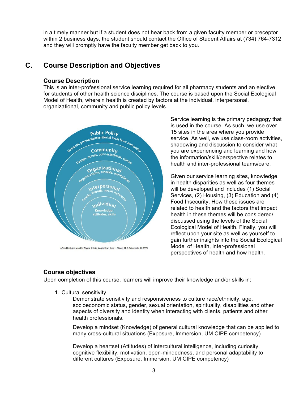in a timely manner but if a student does not hear back from a given faculty member or preceptor within 2 business days, the student should contact the Office of Student Affairs at (734) 764-7312 and they will promptly have the faculty member get back to you.

### **C. Course Description and Objectives**

### **Course Description**

This is an inter-professional service learning required for all pharmacy students and an elective for students of other health science disciplines. The course is based upon the Social Ecological Model of Health, wherein health is created by factors at the individual, interpersonal, organizational, community and public policy levels.



Service learning is the primary pedagogy that is used in the course. As such, we use over 15 sites in the area where you provide service. As well, we use class-room activities, shadowing and discussion to consider what you are experiencing and learning and how the information/skill/perspective relates to health and inter-professional teams/care.

Given our service learning sites, knowledge in health disparities as well as four themes will be developed and includes (1) Social Services, (2) Housing, (3) Education and (4) Food Insecurity. How these issues are related to health and the factors that impact health in these themes will be considered/ discussed using the levels of the Social Ecological Model of Health. Finally, you will reflect upon your site as well as yourself to gain further insights into the Social Ecological Model of Health, inter-professional perspectives of health and how health.

### **Course objectives**

Upon completion of this course, learners will improve their knowledge and/or skills in:

1. Cultural sensitivity

Demonstrate sensitivity and responsiveness to culture race/ethnicity, age, socioeconomic status, gender, sexual orientation, spirituality, disabilities and other aspects of diversity and identity when interacting with clients, patients and other health professionals.

Develop a mindset (Knowledge) of general cultural knowledge that can be applied to many cross-cultural situations (Exposure, Immersion, UM CIPE competency)

Develop a heartset (Attitudes) of intercultural intelligence, including curiosity, cognitive flexibility, motivation, open-mindedness, and personal adaptability to different cultures (Exposure, Immersion, UM CIPE competency)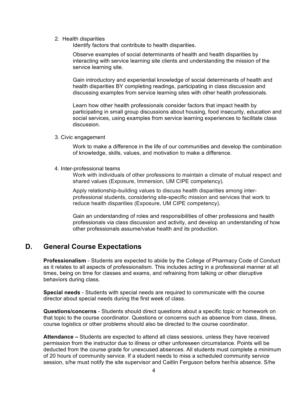2. Health disparities

Identify factors that contribute to health disparities.

Observe examples of social determinants of health and health disparities by interacting with service learning site clients and understanding the mission of the service learning site.

Gain introductory and experiential knowledge of social determinants of health and health disparities BY completing readings, participating in class discussion and discussing examples from service learning sites with other health professionals.

Learn how other health professionals consider factors that impact health by participating in small group discussions about housing, food insecurity, education and social services, using examples from service learning experiences to facilitate class discussion.

#### 3. Civic engagement

Work to make a difference in the life of our communities and develop the combination of knowledge, skills, values, and motivation to make a difference.

4. Inter-professional teams

Work with individuals of other professions to maintain a climate of mutual respect and shared values (Exposure, Immersion, UM CIPE competency).

Apply relationship-building values to discuss health disparities among interprofessional students, considering site-specific mission and services that work to reduce health disparities (Exposure, UM CIPE competency).

Gain an understanding of roles and responsibilities of other professions and health professionals via class discussion and activity, and develop an understanding of how other professionals assume/value health and its production.

### **D. General Course Expectations**

**Professionalism** - Students are expected to abide by the College of Pharmacy Code of Conduct as it relates to all aspects of professionalism. This includes acting in a professional manner at all times, being on time for classes and exams, and refraining from talking or other disruptive behaviors during class.

**Special needs** - Students with special needs are required to communicate with the course director about special needs during the first week of class.

**Questions/concerns** - Students should direct questions about a specific topic or homework on that topic to the course coordinator. Questions or concerns such as absence from class, illness, course logistics or other problems should also be directed to the course coordinator.

**Attendance –** Students are expected to attend all class sessions, unless they have received permission from the instructor due to illness or other unforeseen circumstance. Points will be deducted from the course grade for unexcused absences. All students must complete a minimum of 20 hours of community service. If a student needs to miss a scheduled community service session, s/he must notify the site supervisor and Caitlin Ferguson before her/his absence. S/he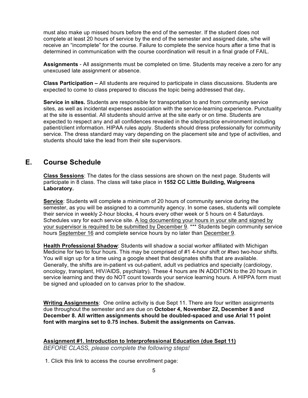must also make up missed hours before the end of the semester. If the student does not complete at least 20 hours of service by the end of the semester and assigned date, s/he will receive an "incomplete" for the course. Failure to complete the service hours after a time that is determined in communication with the course coordination will result in a final grade of FAIL.

**Assignments** - All assignments must be completed on time. Students may receive a zero for any unexcused late assignment or absence.

**Class Participation –** All students are required to participate in class discussions. Students are expected to come to class prepared to discuss the topic being addressed that day**.** 

**Service in sites.** Students are responsible for transportation to and from community service sites, as well as incidental expenses association with the service-learning experience. Punctuality at the site is essential. All students should arrive at the site early or on time. Students are expected to respect any and all confidences revealed in the site/practice environment including patient/client information. HIPAA rules apply. Students should dress professionally for community service. The dress standard may vary depending on the placement site and type of activities, and students should take the lead from their site supervisors.

### **E. Course Schedule**

**Class Sessions**: The dates for the class sessions are shown on the next page. Students will participate in 8 class. The class will take place in **1552 CC Little Building, Walgreens Laboratory.** 

**Service**: Students will complete a minimum of 20 hours of community service during the semester, as you will be assigned to a community agency. In some cases, students will complete their service in weekly 2-hour blocks, 4 hours every other week or 5 hours on 4 Saturdays. Schedules vary for each service site. A log documenting your hours in your site and signed by your supervisor is required to be submitted by December 9. \*\*\* Students begin community service hours September 16 and complete service hours by no later than December 9.

**Health Professional Shadow**: Students will shadow a social worker affiliated with Michigan Medicine for two to four hours. This may be comprised of #1 4-hour shift or #two two-hour shifts. You will sign up for a time using a google sheet that designates shifts that are available. Generally, the shifts are in-patient vs out-patient, adult vs pediatrics and specialty (cardiology, oncology, transplant, HIV/AIDS, psychiatry). These 4 hours are IN ADDITION to the 20 hours in service learning and they do NOT count towards your service learning hours. A HIPPA form must be signed and uploaded on to canvas prior to the shadow.

**Writing Assignments**: One online activity is due Sept 11. There are four written assignments due throughout the semester and are due on **October 4, November 22, December 8 and December 8. All written assignments should be doubled-spaced and use Arial 11 point font with margins set to 0.75 inches. Submit the assignments on Canvas.**

**Assignment #1. Introduction to Interprofessional Education (due Sept 11)** *BEFORE CLASS, please complete the following steps!*

1. Click this link to access the course enrollment page: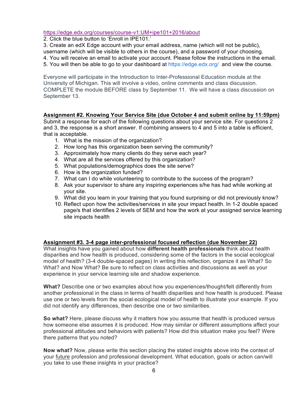#### https://edge.edx.org/courses/course-v1:UM+ipe101+2016/about

2. Click the blue button to 'Enroll in IPE101.'

3. Create an edX Edge account with your email address, name (which will not be public),

username (which will be visible to others in the course), and a password of your choosing.

- 4. You will receive an email to activate your account. Please follow the instructions in the email.
- 5. You will then be able to go to your dashboard at https://edge.edx.org/ and view the course.

Everyone will participate in the Introduction to Inter-Professional Education module at the University of Michigan. This will involve a video, online comments and class discussion. COMPLETE the module BEFORE class by September 11. We will have a class discussion on September 13.

### **Assignment #2. Knowing Your Service Site (due October 4 and submit online by 11:59pm)**

Submit a response for each of the following questions about your service site. For questions 2 and 3, the response is a short answer. If combining answers to 4 and 5 into a table is efficient, that is acceptable.

- 1. What is the mission of the organization?
- 2. How long has this organization been serving the community?
- 3. Approximately how many clients do they serve each year?
- 4. What are all the services offered by this organization?
- 5. What populations/demographics does the site serve?
- 6. How is the organization funded?
- 7. What can I do while volunteering to contribute to the success of the program?
- 8. Ask your supervisor to share any inspiring experiences s/he has had while working at your site.
- 9. What did you learn in your training that you found surprising or did not previously know?
- 10. Reflect upon how the activities/services in site your impact health. In 1-2 double spaced page/s that identifies 2 levels of SEM and how the work at your assigned service learning site impacts health

#### **Assignment #3. 3-4 page inter-professional focused reflection (due November 22)**

What insights have you gained about how **different health professionals** think about health disparities and how health is produced, considering some of the factors in the social ecological model of health? (3-4 double-spaced pages) In writing this reflection, organize it as What? So What? and Now What? Be sure to reflect on class activities and discussions as well as your experience in your service learning site and shadow experience.

**What?** Describe one or two examples about how you experiences/thought/felt differently from another professional in the class in terms of health disparities and how health is produced. Please use one or two levels from the social ecological model of health to illustrate your example. If you did not identify any differences, then describe one or two similarities.

**So what?** Here, please discuss why it matters how you assume that health is produced versus how someone else assumes it is produced. How may similar or different assumptions affect your professional attitudes and behaviors with patients? How did this situation make you feel? Were there patterns that you noted?

**Now what?** Now, please write this section placing the stated insights above into the context of your future profession and professional development. What education, goals or action can/will you take to use these insights in your practice?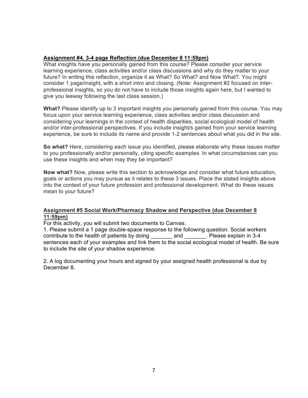### **Assignment #4. 3-4 page Reflection (due December 8 11:59pm)**

What insights have you personally gained from this course? Please consider your service learning experience, class activities and/or class discussions and why do they matter to your future? In writing this reflection, organize it as What? So What? and Now What?. You might consider 1 page/insight, with a short intro and closing. (Note: Assignment #2 focused on interprofessional insights, so you do not have to include those insights again here, but I wanted to give you leeway following the last class session.)

**What?** Please identify up to 3 important insights you personally gained from this course. You may focus upon your service learning experience, class activities and/or class discussion and considering your learnings in the context of health disparities, social ecological model of health and/or inter-professional perspectives. If you include insight/s gained from your service learning experience, be sure to include its name and provide 1-2 sentences about what you did in the site.

**So what?** Here, considering each issue you identified, please elaborate why these issues matter to you professionally and/or personally, citing specific examples. In what circumstances can you use these insights and when may they be important?

**Now what?** Now, please write this section to acknowledge and consider what future education, goals or actions you may pursue as it relates to these 3 issues. Place the stated insights above into the context of your future profession and professional development. What do these issues mean to your future?

### **Assignment #5 Social Work/Pharmacy Shadow and Perspective (due December 8 11:59pm)**

For this activity, you will submit two documents to Canvas.

1. Please submit a 1 page double-space response to the following question. Social workers contribute to the health of patients by doing \_\_\_\_\_\_\_ and \_\_\_\_\_\_\_. Please explain in 3-4 sentences each of your examples and link them to the social ecological model of health. Be sure to include the site of your shadow experience.

2. A log documenting your hours and signed by your assigned health professional is due by December 8.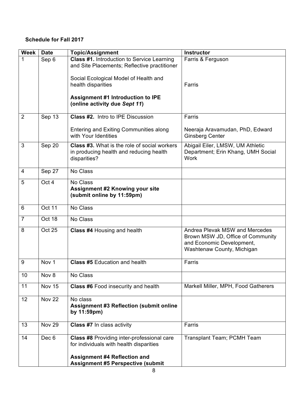### **Schedule for Fall 2017**

| <b>Week</b>    | <b>Date</b>      | <b>Topic/Assignment</b>                                                                                                                                                         | <b>Instructor</b>                                                                                                              |
|----------------|------------------|---------------------------------------------------------------------------------------------------------------------------------------------------------------------------------|--------------------------------------------------------------------------------------------------------------------------------|
| 1              | Sep 6            | Class #1. Introduction to Service Learning<br>and Site Placements; Reflective practitioner                                                                                      | Farris & Ferguson                                                                                                              |
|                |                  | Social Ecological Model of Health and<br>health disparities                                                                                                                     | Farris                                                                                                                         |
|                |                  | <b>Assignment #1 Introduction to IPE</b><br>(online activity due Sept 11)                                                                                                       |                                                                                                                                |
| $\overline{2}$ | Sep 13           | <b>Class #2. Intro to IPE Discussion</b>                                                                                                                                        | Farris                                                                                                                         |
|                |                  | Entering and Exiting Communities along<br>with Your Identities                                                                                                                  | Neeraja Aravamudan, PhD, Edward<br><b>Ginsberg Center</b>                                                                      |
| 3              | Sep 20           | Class #3. What is the role of social workers<br>in producing health and reducing health<br>disparities?                                                                         | Abigail Eiler, LMSW, UM Athletic<br>Department; Erin Khang, UMH Social<br><b>Work</b>                                          |
| 4              | Sep 27           | No Class                                                                                                                                                                        |                                                                                                                                |
| 5              | Oct 4            | No Class<br><b>Assignment #2 Knowing your site</b><br>(submit online by 11:59pm)                                                                                                |                                                                                                                                |
| 6              | Oct 11           | No Class                                                                                                                                                                        |                                                                                                                                |
| $\overline{7}$ | Oct $18$         | No Class                                                                                                                                                                        |                                                                                                                                |
| 8              | <b>Oct 25</b>    | Class #4 Housing and health                                                                                                                                                     | Andrea Plevak MSW and Mercedes<br>Brown MSW JD, Office of Community<br>and Economic Development,<br>Washtenaw County, Michigan |
| 9              | Nov <sub>1</sub> | <b>Class #5 Education and health</b>                                                                                                                                            | Farris                                                                                                                         |
| 10             | Nov 8            | No Class                                                                                                                                                                        |                                                                                                                                |
| 11             | <b>Nov 15</b>    | <b>Class #6 Food insecurity and health</b>                                                                                                                                      | Markell Miller, MPH, Food Gatherers                                                                                            |
| 12             | <b>Nov 22</b>    | No class<br><b>Assignment #3 Reflection (submit online</b><br>by 11:59pm)                                                                                                       |                                                                                                                                |
| 13             | <b>Nov 29</b>    | Class #7 In class activity                                                                                                                                                      | Farris                                                                                                                         |
| 14             | Dec 6            | <b>Class #8 Providing inter-professional care</b><br>for individuals with health disparities<br><b>Assignment #4 Reflection and</b><br><b>Assignment #5 Perspective (submit</b> | <b>Transplant Team; PCMH Team</b>                                                                                              |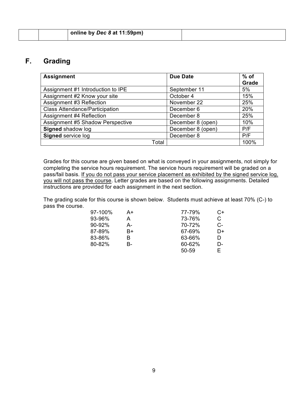|  | $^{\prime}$ online by <i>Dec 8</i> at 11:59pm) |  |
|--|------------------------------------------------|--|
|  |                                                |  |

### **F. Grading**

| <b>Assignment</b>                     | <b>Due Date</b>   | $%$ of |
|---------------------------------------|-------------------|--------|
|                                       |                   | Grade  |
| Assignment #1 Introduction to IPE     | September 11      | 5%     |
| Assignment #2 Know your site          | October 4         | 15%    |
| Assignment #3 Reflection              | November 22       | 25%    |
| <b>Class Attendance/Participation</b> | December 6        | 20%    |
| Assignment #4 Reflection              | December 8        | 25%    |
| Assignment #5 Shadow Perspective      | December 8 (open) | 10%    |
| Signed shadow log                     | December 8 (open) | P/F    |
| <b>Signed service log</b>             | December 8        | P/F    |
| Total                                 |                   | 100%   |

Grades for this course are given based on what is conveyed in your assignments, not simply for completing the service hours requirement. The service hours requirement will be graded on a pass/fail basis. If you do not pass your service placement as exhibited by the signed service log, you will not pass the course. Letter grades are based on the following assignments. Detailed instructions are provided for each assignment in the next section.

The grading scale for this course is shown below. Students must achieve at least 70% (C-) to pass the course.

| 97-100%    | A+ | 77-79% | C+ |
|------------|----|--------|----|
| 93-96%     | А  | 73-76% | C  |
| $90 - 92%$ | А- | 70-72% | C- |
| 87-89%     | B+ | 67-69% | D+ |
| 83-86%     | B  | 63-66% | D  |
| 80-82%     | В- | 60-62% | D- |
|            |    | 50-59  | F  |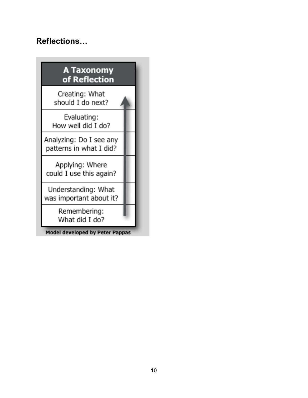# **Reflections…**